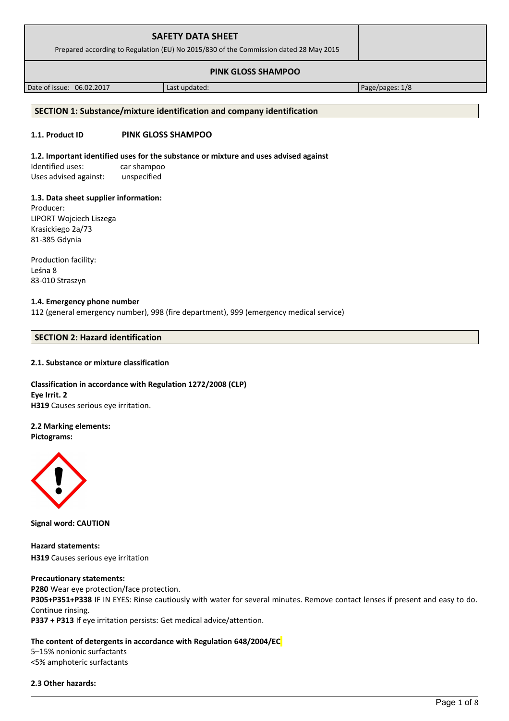| <b>SAFETY DATA SHEET</b><br>Prepared according to Regulation (EU) No 2015/830 of the Commission dated 28 May 2015 |               |                 |
|-------------------------------------------------------------------------------------------------------------------|---------------|-----------------|
|                                                                                                                   |               |                 |
| Date of issue: 06.02.2017                                                                                         | Last updated: | Page/pages: 1/8 |

## **SECTION 1: Substance/mixture identification and company identification**

#### **1.1. Product ID PINK GLOSS SHAMPOO**

#### **1.2. Important identified uses for the substance or mixture and uses advised against**

Identified uses: car shampoo Uses advised against: unspecified

#### **1.3. Data sheet supplier information:**

Producer: LIPORT Wojciech Liszega Krasickiego 2a/73 81-385 Gdynia

Production facility: Leśna 8 83-010 Straszyn

#### **1.4. Emergency phone number**

112 (general emergency number), 998 (fire department), 999 (emergency medical service)

# **SECTION 2: Hazard identification**

#### **2.1. Substance or mixture classification**

**Classification in accordance with Regulation 1272/2008 (CLP) Eye Irrit. 2 H319** Causes serious eye irritation.

## **2.2 Marking elements:**

**Pictograms:**



**Signal word: CAUTION**

**Hazard statements: H319** Causes serious eye irritation

#### **Precautionary statements:**

**P280** Wear eye protection/face protection. **P305+P351+P338** IF IN EYES: Rinse cautiously with water for several minutes. Remove contact lenses if present and easy to do. Continue rinsing. **P337 + P313** If eye irritation persists: Get medical advice/attention.

#### **The content of detergents in accordance with Regulation 648/2004/EC**

5–15% nonionic surfactants <5% amphoteric surfactants

#### **2.3 Other hazards:**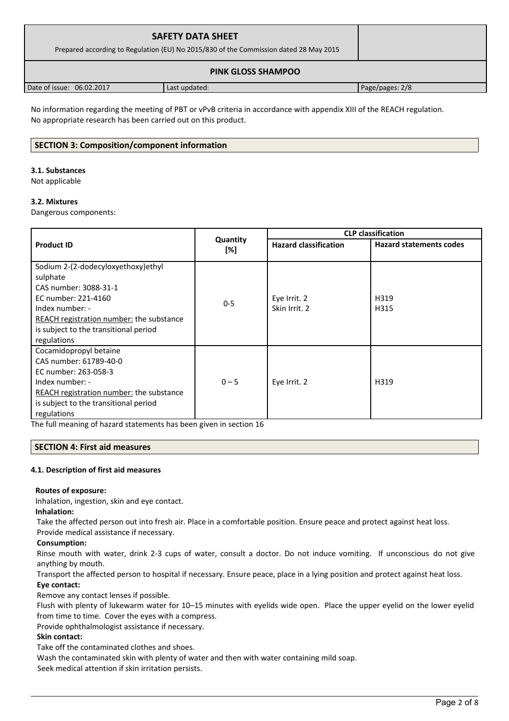| <b>SAFETY DATA SHEET</b><br>Prepared according to Regulation (EU) No 2015/830 of the Commission dated 28 May 2015 |               |                 |
|-------------------------------------------------------------------------------------------------------------------|---------------|-----------------|
|                                                                                                                   |               |                 |
| Date of issue: 06.02.2017                                                                                         | Last updated: | Page/pages: 2/8 |

No information regarding the meeting of PBT or vPvB criteria in accordance with appendix XIII of the REACH regulation. No appropriate research has been carried out on this product.

## **SECTION 3: Composition/component information**

#### **3.1. Substances**

Not applicable

## **3.2. Mixtures**

Dangerous components:

|                                                 |                                                 | <b>CLP classification</b> |                                |  |
|-------------------------------------------------|-------------------------------------------------|---------------------------|--------------------------------|--|
| <b>Product ID</b>                               | Quantity<br><b>Hazard classification</b><br>[%] |                           | <b>Hazard statements codes</b> |  |
| Sodium 2-(2-dodecyloxyethoxy)ethyl              |                                                 |                           |                                |  |
| sulphate                                        |                                                 |                           |                                |  |
| CAS number: 3088-31-1                           |                                                 |                           |                                |  |
| EC number: 221-4160                             | $0 - 5$                                         | Eye Irrit. 2              | H319                           |  |
| Index number: -                                 |                                                 | Skin Irrit. 2             | H315                           |  |
| <b>REACH registration number:</b> the substance |                                                 |                           |                                |  |
| is subject to the transitional period           |                                                 |                           |                                |  |
| regulations                                     |                                                 |                           |                                |  |
| Cocamidopropyl betaine                          |                                                 |                           |                                |  |
| CAS number: 61789-40-0                          |                                                 |                           |                                |  |
| EC number: 263-058-3                            |                                                 |                           |                                |  |
| Index number: -                                 | $0 - 5$                                         | Eye Irrit. 2              | H319                           |  |
| REACH registration number: the substance        |                                                 |                           |                                |  |
| is subject to the transitional period           |                                                 |                           |                                |  |
| regulations                                     |                                                 |                           |                                |  |

The full meaning of hazard statements has been given in section 16

## **SECTION 4: First aid measures**

## **4.1. Description of first aid measures**

## **Routes of exposure:**

Inhalation, ingestion, skin and eye contact.

## **Inhalation:**

Take the affected person out into fresh air. Place in a comfortable position. Ensure peace and protect against heat loss.

Provide medical assistance if necessary.

## **Consumption:**

Rinse mouth with water, drink 2-3 cups of water, consult a doctor. Do not induce vomiting. If unconscious do not give anything by mouth.

Transport the affected person to hospital if necessary. Ensure peace, place in a lying position and protect against heat loss. **Eye contact:**

Remove any contact lenses if possible.

Flush with plenty of lukewarm water for 10–15 minutes with eyelids wide open. Place the upper eyelid on the lower eyelid from time to time. Cover the eyes with a compress.

Provide ophthalmologist assistance if necessary.

## **Skin contact:**

Take off the contaminated clothes and shoes.

Wash the contaminated skin with plenty of water and then with water containing mild soap.

Seek medical attention if skin irritation persists.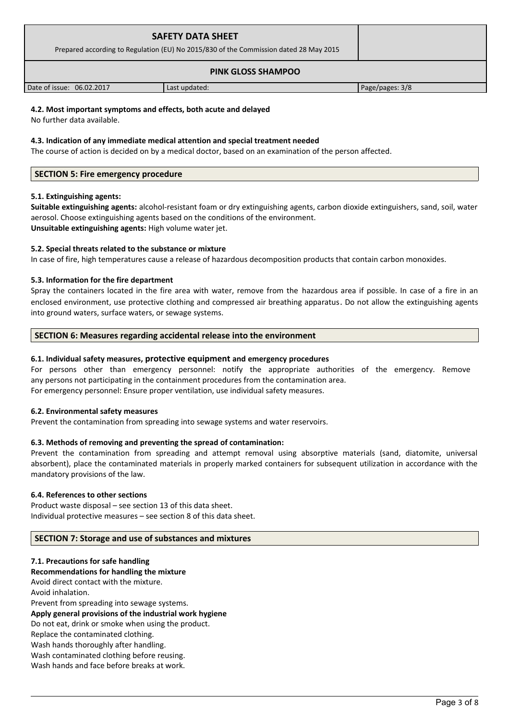| <b>SAFETY DATA SHEET</b><br>Prepared according to Regulation (EU) No 2015/830 of the Commission dated 28 May 2015 |               |                 |
|-------------------------------------------------------------------------------------------------------------------|---------------|-----------------|
|                                                                                                                   |               |                 |
| Date of issue: 06.02.2017                                                                                         | Last updated: | Page/pages: 3/8 |

## **4.2. Most important symptoms and effects, both acute and delayed**

No further data available.

#### **4.3. Indication of any immediate medical attention and special treatment needed**

The course of action is decided on by a medical doctor, based on an examination of the person affected.

## **SECTION 5: Fire emergency procedure**

#### **5.1. Extinguishing agents:**

**Suitable extinguishing agents:** alcohol-resistant foam or dry extinguishing agents, carbon dioxide extinguishers, sand, soil, water aerosol. Choose extinguishing agents based on the conditions of the environment. **Unsuitable extinguishing agents:** High volume water jet.

#### **5.2. Special threats related to the substance or mixture**

In case of fire, high temperatures cause a release of hazardous decomposition products that contain carbon monoxides.

#### **5.3. Information for the fire department**

Spray the containers located in the fire area with water, remove from the hazardous area if possible. In case of a fire in an enclosed environment, use protective clothing and compressed air breathing apparatus. Do not allow the extinguishing agents into ground waters, surface waters, or sewage systems.

## **SECTION 6: Measures regarding accidental release into the environment**

#### **6.1. Individual safety measures, protective equipment and emergency procedures**

For persons other than emergency personnel: notify the appropriate authorities of the emergency. Remove any persons not participating in the containment procedures from the contamination area. For emergency personnel: Ensure proper ventilation, use individual safety measures.

#### **6.2. Environmental safety measures**

Prevent the contamination from spreading into sewage systems and water reservoirs.

## **6.3. Methods of removing and preventing the spread of contamination:**

Prevent the contamination from spreading and attempt removal using absorptive materials (sand, diatomite, universal absorbent), place the contaminated materials in properly marked containers for subsequent utilization in accordance with the mandatory provisions of the law.

#### **6.4. References to other sections**

Product waste disposal – see section 13 of this data sheet. Individual protective measures – see section 8 of this data sheet.

#### **SECTION 7: Storage and use of substances and mixtures**

#### **7.1. Precautions for safe handling**

**Recommendations for handling the mixture** 

Avoid direct contact with the mixture. Avoid inhalation. Prevent from spreading into sewage systems. **Apply general provisions of the industrial work hygiene**  Do not eat, drink or smoke when using the product. Replace the contaminated clothing. Wash hands thoroughly after handling. Wash contaminated clothing before reusing. Wash hands and face before breaks at work.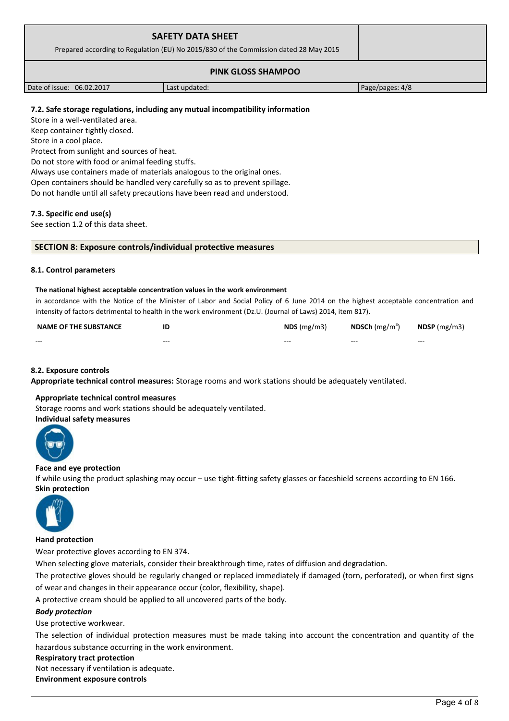| <b>SAFETY DATA SHEET</b><br>Prepared according to Regulation (EU) No 2015/830 of the Commission dated 28 May 2015 |               |                 |  |
|-------------------------------------------------------------------------------------------------------------------|---------------|-----------------|--|
| <b>PINK GLOSS SHAMPOO</b>                                                                                         |               |                 |  |
| Date of issue: 06.02.2017                                                                                         | Last updated: | Page/pages: 4/8 |  |

## **7.2. Safe storage regulations, including any mutual incompatibility information**

Store in a well-ventilated area.

Keep container tightly closed.

Store in a cool place.

Protect from sunlight and sources of heat.

Do not store with food or animal feeding stuffs.

Always use containers made of materials analogous to the original ones.

Open containers should be handled very carefully so as to prevent spillage.

Do not handle until all safety precautions have been read and understood.

## **7.3. Specific end use(s)**

See section 1.2 of this data sheet.

#### **SECTION 8: Exposure controls/individual protective measures**

#### **8.1. Control parameters**

#### **The national highest acceptable concentration values in the work environment**

in accordance with the Notice of the Minister of Labor and Social Policy of 6 June 2014 on the highest acceptable concentration and intensity of factors detrimental to health in the work environment (Dz.U. (Journal of Laws) 2014, item 817).

| <b>NAME OF THE SUBSTANCE</b> | ΙE      | $NDS$ (mg/m3) | <b>NDSCh</b> (mg/m <sup>3</sup> ) | $N$ DSP (mg/m3) |
|------------------------------|---------|---------------|-----------------------------------|-----------------|
| $- - -$                      | $- - -$ | $- - -$       | $- - -$                           | $- - -$         |

## **8.2. Exposure controls**

**Appropriate technical control measures:** Storage rooms and work stations should be adequately ventilated.

## **Appropriate technical control measures**

Storage rooms and work stations should be adequately ventilated.

## **Individual safety measures**



#### **Face and eye protection**

If while using the product splashing may occur – use tight-fitting safety glasses or faceshield screens according to EN 166. **Skin protection** 



## **Hand protection**

Wear protective gloves according to EN 374.

When selecting glove materials, consider their breakthrough time, rates of diffusion and degradation.

The protective gloves should be regularly changed or replaced immediately if damaged (torn, perforated), or when first signs of wear and changes in their appearance occur (color, flexibility, shape).

A protective cream should be applied to all uncovered parts of the body.

## *Body protection*

Use protective workwear.

The selection of individual protection measures must be made taking into account the concentration and quantity of the hazardous substance occurring in the work environment.

#### **Respiratory tract protection**

Not necessary if ventilation is adequate.

**Environment exposure controls**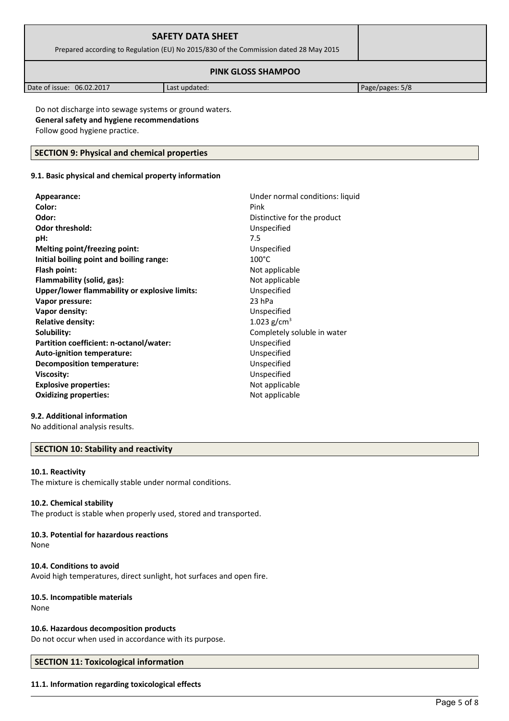| <b>SAFETY DATA SHEET</b><br>Prepared according to Regulation (EU) No 2015/830 of the Commission dated 28 May 2015 |  |  |
|-------------------------------------------------------------------------------------------------------------------|--|--|
|                                                                                                                   |  |  |

| 06.02.2017<br>Date of issue: | Last updated: | 5/8<br>Page/pages: |
|------------------------------|---------------|--------------------|

Do not discharge into sewage systems or ground waters. **General safety and hygiene recommendations** Follow good hygiene practice.

## **SECTION 9: Physical and chemical properties**

## **9.1. Basic physical and chemical property information**

| Appearance:                                   | Under normal conditions: liquid |
|-----------------------------------------------|---------------------------------|
| Color:                                        | Pink                            |
| Odor:                                         | Distinctive for the product     |
| <b>Odor threshold:</b>                        | Unspecified                     |
| pH:                                           | 7.5                             |
| Melting point/freezing point:                 | Unspecified                     |
| Initial boiling point and boiling range:      | $100^{\circ}$ C                 |
| Flash point:                                  | Not applicable                  |
| Flammability (solid, gas):                    | Not applicable                  |
| Upper/lower flammability or explosive limits: | Unspecified                     |
| Vapor pressure:                               | 23 hPa                          |
| Vapor density:                                | Unspecified                     |
| <b>Relative density:</b>                      | 1.023 $g/cm^{3}$                |
| Solubility:                                   | Completely soluble in water     |
| Partition coefficient: n-octanol/water:       | Unspecified                     |
| Auto-ignition temperature:                    | Unspecified                     |
| <b>Decomposition temperature:</b>             | Unspecified                     |
| <b>Viscosity:</b>                             | Unspecified                     |
| <b>Explosive properties:</b>                  | Not applicable                  |
| <b>Oxidizing properties:</b>                  | Not applicable                  |
|                                               |                                 |

## **9.2. Additional information**

No additional analysis results.

## **SECTION 10: Stability and reactivity**

## **10.1. Reactivity**

The mixture is chemically stable under normal conditions.

## **10.2. Chemical stability**

The product is stable when properly used, stored and transported.

# **10.3. Potential for hazardous reactions**

None

## **10.4. Conditions to avoid**

Avoid high temperatures, direct sunlight, hot surfaces and open fire.

## **10.5. Incompatible materials**

None

## **10.6. Hazardous decomposition products**

Do not occur when used in accordance with its purpose.

# **SECTION 11: Toxicological information**

## **11.1. Information regarding toxicological effects**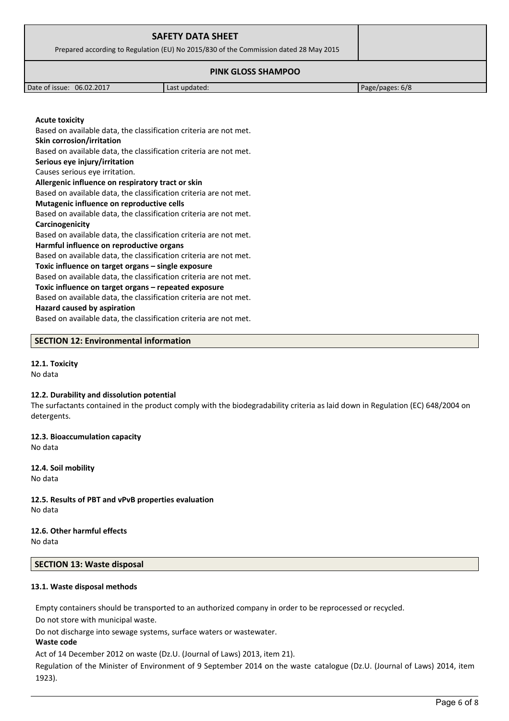| <b>SAFETY DATA SHEET</b><br>Prepared according to Regulation (EU) No 2015/830 of the Commission dated 28 May 2015 |                 |  |
|-------------------------------------------------------------------------------------------------------------------|-----------------|--|
| <b>PINK GLOSS SHAMPOO</b>                                                                                         |                 |  |
| Date of issue: 06.02.2017                                                                                         | Page/pages: 6/8 |  |

**Acute toxicity**

Based on available data, the classification criteria are not met. **Skin corrosion/irritation** Based on available data, the classification criteria are not met.

**Serious eye injury/irritation**

Causes serious eye irritation.

**Allergenic influence on respiratory tract or skin**

Based on available data, the classification criteria are not met. **Mutagenic influence on reproductive cells**

Based on available data, the classification criteria are not met. **Carcinogenicity**

Based on available data, the classification criteria are not met. **Harmful influence on reproductive organs**

Based on available data, the classification criteria are not met.

**Toxic influence on target organs – single exposure**

Based on available data, the classification criteria are not met.

**Toxic influence on target organs – repeated exposure**

Based on available data, the classification criteria are not met.

#### **Hazard caused by aspiration**

Based on available data, the classification criteria are not met.

## **SECTION 12: Environmental information**

# **12.1. Toxicity**

No data

## **12.2. Durability and dissolution potential**

The surfactants contained in the product comply with the biodegradability criteria as laid down in Regulation (EC) 648/2004 on detergents.

**12.3. Bioaccumulation capacity** No data

**12.4. Soil mobility** No data

**12.5. Results of PBT and vPvB properties evaluation** No data

**12.6. Other harmful effects** No data

# **SECTION 13: Waste disposal**

## **13.1. Waste disposal methods**

Empty containers should be transported to an authorized company in order to be reprocessed or recycled.

Do not store with municipal waste.

Do not discharge into sewage systems, surface waters or wastewater.

## **Waste code**

Act of 14 December 2012 on waste (Dz.U. (Journal of Laws) 2013, item 21).

Regulation of the Minister of Environment of 9 September 2014 on the waste catalogue (Dz.U. (Journal of Laws) 2014, item 1923).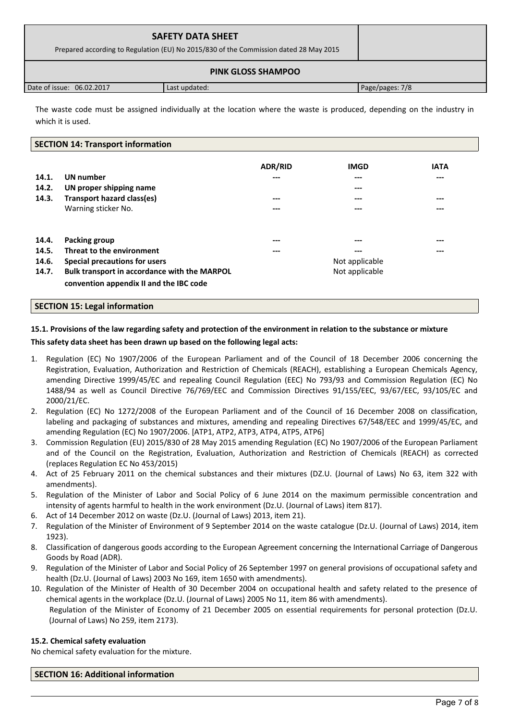| <b>SAFETY DATA SHEET</b><br>Prepared according to Regulation (EU) No 2015/830 of the Commission dated 28 May 2015 |               |                 |  |
|-------------------------------------------------------------------------------------------------------------------|---------------|-----------------|--|
| <b>PINK GLOSS SHAMPOO</b>                                                                                         |               |                 |  |
| Date of issue: 06.02.2017                                                                                         | Last updated: | Page/pages: 7/8 |  |

The waste code must be assigned individually at the location where the waste is produced, depending on the industry in which it is used.

## **SECTION 14: Transport information**

| 14.1.<br>14.2.<br>14.3.          | <b>UN</b> number<br>UN proper shipping name<br>Transport hazard class(es)<br>Warning sticker No.                                                                       | <b>ADR/RID</b><br>---<br>$---$<br>--- | <b>IMGD</b><br>---<br>---<br>---<br>---          | <b>IATA</b><br>---<br>$---$<br>--- |
|----------------------------------|------------------------------------------------------------------------------------------------------------------------------------------------------------------------|---------------------------------------|--------------------------------------------------|------------------------------------|
| 14.4.<br>14.5.<br>14.6.<br>14.7. | Packing group<br>Threat to the environment<br>Special precautions for users<br>Bulk transport in accordance with the MARPOL<br>convention appendix II and the IBC code | $---$<br>---                          | ---<br>$---$<br>Not applicable<br>Not applicable | $---$<br>$---$                     |

## **SECTION 15: Legal information**

# **15.1. Provisions of the law regarding safety and protection of the environment in relation to the substance or mixture This safety data sheet has been drawn up based on the following legal acts:**

- 1. Regulation (EC) No 1907/2006 of the European Parliament and of the Council of 18 December 2006 concerning the Registration, Evaluation, Authorization and Restriction of Chemicals (REACH), establishing a European Chemicals Agency, amending Directive 1999/45/EC and repealing Council Regulation (EEC) No 793/93 and Commission Regulation (EC) No 1488/94 as well as Council Directive 76/769/EEC and Commission Directives 91/155/EEC, 93/67/EEC, 93/105/EC and 2000/21/EC.
- 2. Regulation (EC) No 1272/2008 of the European Parliament and of the Council of 16 December 2008 on classification, labeling and packaging of substances and mixtures, amending and repealing Directives 67/548/EEC and 1999/45/EC, and amending Regulation (EC) No 1907/2006. [ATP1, ATP2, ATP3, ATP4, ATP5, ATP6]
- 3. Commission Regulation (EU) 2015/830 of 28 May 2015 amending Regulation (EC) No 1907/2006 of the European Parliament and of the Council on the Registration, Evaluation, Authorization and Restriction of Chemicals (REACH) as corrected (replaces Regulation EC No 453/2015)
- 4. Act of 25 February 2011 on the chemical substances and their mixtures (DZ.U. (Journal of Laws) No 63, item 322 with amendments).
- 5. Regulation of the Minister of Labor and Social Policy of 6 June 2014 on the maximum permissible concentration and intensity of agents harmful to health in the work environment (Dz.U. (Journal of Laws) item 817).
- 6. Act of 14 December 2012 on waste (Dz.U. (Journal of Laws) 2013, item 21).
- 7. Regulation of the Minister of Environment of 9 September 2014 on the waste catalogue (Dz.U. (Journal of Laws) 2014, item 1923).
- 8. Classification of dangerous goods according to the European Agreement concerning the International Carriage of Dangerous Goods by Road (ADR).
- 9. Regulation of the Minister of Labor and Social Policy of 26 September 1997 on general provisions of occupational safety and health (Dz.U. (Journal of Laws) 2003 No 169, item 1650 with amendments).
- 10. Regulation of the Minister of Health of 30 December 2004 on occupational health and safety related to the presence of chemical agents in the workplace (Dz.U. (Journal of Laws) 2005 No 11, item 86 with amendments). Regulation of the Minister of Economy of 21 December 2005 on essential requirements for personal protection (Dz.U. (Journal of Laws) No 259, item 2173).

## **15.2. Chemical safety evaluation**

No chemical safety evaluation for the mixture.

**SECTION 16: Additional information**